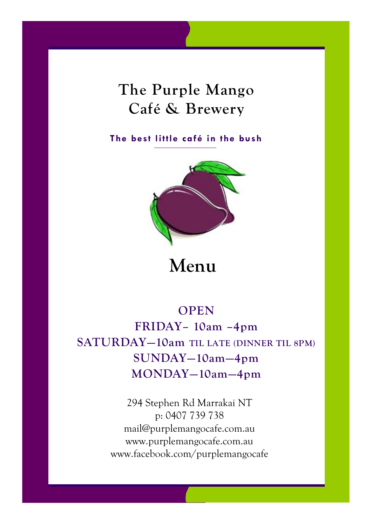## **The Purple Mango Café & Brewery**

**The best little café in the bush**



## **Menu**

## **OPEN FRIDAY– 10am –4pm SATURDAY—10am TIL LATE (DINNER TIL 8PM) SUNDAY—10am—4pm MONDAY—10am—4pm**

294 Stephen Rd Marrakai NT p: 0407 739 738 mail@purplemangocafe.com.au www.purplemangocafe.com.au www.facebook.com/purplemangocafe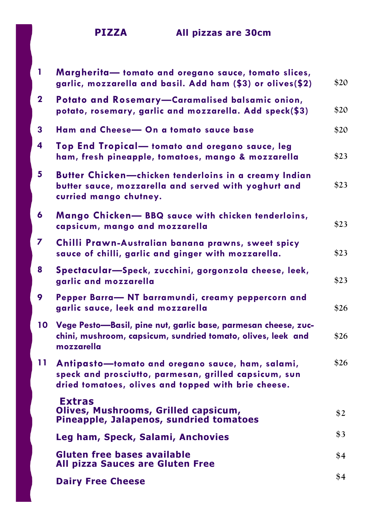**PIZZA All pizzas are 30cm**

| 1            | Margherita-tomato and oregano sauce, tomato slices,<br>garlic, mozzarella and basil. Add ham (\$3) or olives(\$2)                                                | \$20 |
|--------------|------------------------------------------------------------------------------------------------------------------------------------------------------------------|------|
| $\mathbf{2}$ | Potato and Rosemary-Caramalised balsamic onion,<br>potato, rosemary, garlic and mozzarella. Add speck(\$3)                                                       | \$20 |
| 3            | Ham and Cheese- On a tomato sauce base                                                                                                                           | \$20 |
| 4            | Top End Tropical-tomato and oregano sauce, leg<br>ham, fresh pineapple, tomatoes, mango & mozzarella                                                             | \$23 |
| 5            | Butter Chicken-chicken tenderloins in a creamy Indian<br>butter sauce, mozzarella and served with yoghurt and<br>curried mango chutney.                          | \$23 |
| 6            | Mango Chicken- BBQ sauce with chicken tenderloins,<br>capsicum, mango and mozzarella                                                                             | \$23 |
| 7            | Chilli Prawn-Australian banana prawns, sweet spicy<br>sauce of chilli, garlic and ginger with mozzarella.                                                        | \$23 |
| 8            | Spectacular-Speck, zucchini, gorgonzola cheese, leek,<br>garlic and mozzarella                                                                                   | \$23 |
| 9            | Pepper Barra- NT barramundi, creamy peppercorn and<br>garlic sauce, leek and mozzarella                                                                          | \$26 |
| 10           | Vege Pesto-Basil, pine nut, garlic base, parmesan cheese, zuc-<br>chini, mushroom, capsicum, sundried tomato, olives, leek and<br>mozzarella                     | \$26 |
| 11           | Antipasto-tomato and oregano sauce, ham, salami,<br>speck and prosciutto, parmesan, grilled capsicum, sun<br>dried tomatoes, olives and topped with brie cheese. | \$26 |
|              | <b>Extras</b><br>Olives, Mushrooms, Grilled capsicum,<br>Pineapple, Jalapenos, sundried tomatoes                                                                 | \$2  |
|              | Leg ham, Speck, Salami, Anchovies                                                                                                                                | \$3  |
|              | <b>Gluten free bases available</b><br>All pizza Sauces are Gluten Free                                                                                           | \$4  |
|              | <b>Dairy Free Cheese</b>                                                                                                                                         | \$4  |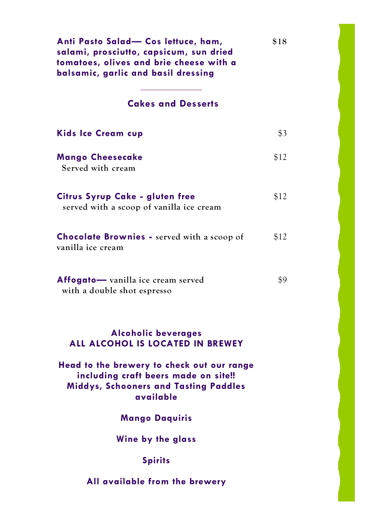| Anti Pasto Salad- Cos lettuce, ham,<br>salami, prosciutto, capsicum, sun dried<br>tomatoes, olives and brie cheese with a<br>balsamic, garlic and basil dressing | \$18 |
|------------------------------------------------------------------------------------------------------------------------------------------------------------------|------|
| <b>Cakes and Desserts</b>                                                                                                                                        |      |
| <b>Kids Ice Cream cup</b>                                                                                                                                        | \$3  |
| <b>Mango Cheesecake</b><br>Served with cream                                                                                                                     | \$12 |
| Citrus Syrup Cake - gluten free<br>served with a scoop of vanilla ice cream                                                                                      | \$12 |
| <b>Chocolate Brownies - served with a scoop of</b><br>vanilla ice cream                                                                                          | \$12 |
| Affogato-vanilla ice cream served<br>with a double shot espresso                                                                                                 | \$9  |
| <b>Alcoholic beverages</b><br>ALL ALCOHOL IS LOCATED IN BREWEY                                                                                                   |      |
| Head to the brewery to check out our range<br>including craft beers made on site!!<br><b>Middys, Schooners and Tasting Paddles</b><br>available                  |      |
| <b>Mango Daquiris</b>                                                                                                                                            |      |
| Wine by the glass                                                                                                                                                |      |
| <b>Spirits</b>                                                                                                                                                   |      |
| All available from the brewery                                                                                                                                   |      |

I

I